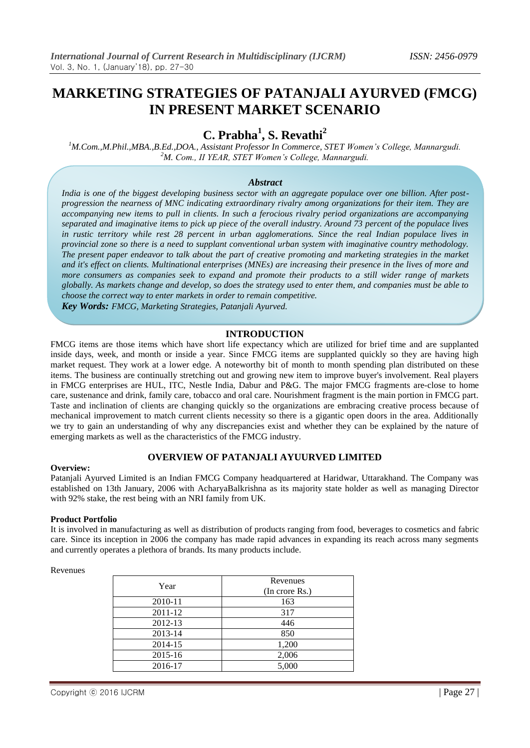# **MARKETING STRATEGIES OF PATANJALI AYURVED (FMCG) IN PRESENT MARKET SCENARIO**

# **C. Prabha<sup>1</sup> , S. Revathi<sup>2</sup>**

*<sup>1</sup>M.Com.,M.Phil.,MBA.,B.Ed.,DOA., Assistant Professor In Commerce, STET Women's College, Mannargudi. <sup>2</sup>M. Com., II YEAR, STET Women's College, Mannargudi.*

## *Abstract*

*India is one of the biggest developing business sector with an aggregate populace over one billion. After postprogression the nearness of MNC indicating extraordinary rivalry among organizations for their item. They are accompanying new items to pull in clients. In such a ferocious rivalry period organizations are accompanying separated and imaginative items to pick up piece of the overall industry. Around 73 percent of the populace lives in rustic territory while rest 28 percent in urban agglomerations. Since the real Indian populace lives in provincial zone so there is a need to supplant conventional urban system with imaginative country methodology. The present paper endeavor to talk about the part of creative promoting and marketing strategies in the market and it's effect on clients. Multinational enterprises (MNEs) are increasing their presence in the lives of more and more consumers as companies seek to expand and promote their products to a still wider range of markets globally. As markets change and develop, so does the strategy used to enter them, and companies must be able to choose the correct way to enter markets in order to remain competitive.*

*Key Words: FMCG, Marketing Strategies, Patanjali Ayurved.*

## **INTRODUCTION**

FMCG items are those items which have short life expectancy which are utilized for brief time and are supplanted inside days, week, and month or inside a year. Since FMCG items are supplanted quickly so they are having high market request. They work at a lower edge. A noteworthy bit of month to month spending plan distributed on these items. The business are continually stretching out and growing new item to improve buyer's involvement. Real players in FMCG enterprises are HUL, ITC, Nestle India, Dabur and P&G. The major FMCG fragments are-close to home care, sustenance and drink, family care, tobacco and oral care. Nourishment fragment is the main portion in FMCG part. Taste and inclination of clients are changing quickly so the organizations are embracing creative process because of mechanical improvement to match current clients necessity so there is a gigantic open doors in the area. Additionally we try to gain an understanding of why any discrepancies exist and whether they can be explained by the nature of emerging markets as well as the characteristics of the FMCG industry.

# **OVERVIEW OF PATANJALI AYUURVED LIMITED**

#### **Overview:**

Patanjali Ayurved Limited is an Indian FMCG Company headquartered at Haridwar, Uttarakhand. The Company was established on 13th January, 2006 with AcharyaBalkrishna as its majority state holder as well as managing Director with 92% stake, the rest being with an NRI family from UK.

#### **Product Portfolio**

It is involved in manufacturing as well as distribution of products ranging from food, beverages to cosmetics and fabric care. Since its inception in 2006 the company has made rapid advances in expanding its reach across many segments and currently operates a plethora of brands. Its many products include.

#### Revenues

| Year    | Revenues       |
|---------|----------------|
|         | (In crore Rs.) |
| 2010-11 | 163            |
| 2011-12 | 317            |
| 2012-13 | 446            |
| 2013-14 | 850            |
| 2014-15 | 1,200          |
| 2015-16 | 2,006          |
| 2016-17 | 5,000          |
|         |                |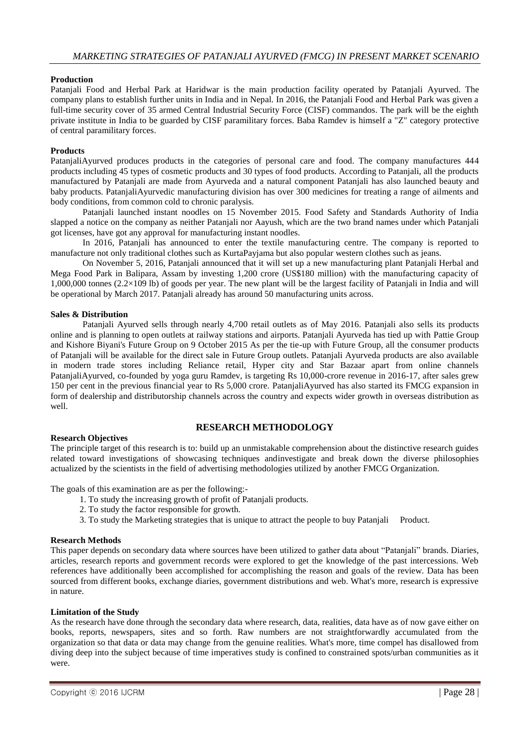### **Production**

Patanjali Food and Herbal Park at Haridwar is the main production facility operated by Patanjali Ayurved. The company plans to establish further units in India and in Nepal. In 2016, the Patanjali Food and Herbal Park was given a full-time security cover of 35 armed Central Industrial Security Force (CISF) commandos. The park will be the eighth private institute in India to be guarded by CISF paramilitary forces. Baba Ramdev is himself a "Z" category protective of central paramilitary forces.

#### **Products**

PatanjaliAyurved produces products in the categories of personal care and food. The company manufactures 444 products including 45 types of cosmetic products and 30 types of food products. According to Patanjali, all the products manufactured by Patanjali are made from Ayurveda and a natural component Patanjali has also launched beauty and baby products. PatanjaliAyurvedic manufacturing division has over 300 medicines for treating a range of ailments and body conditions, from common cold to chronic paralysis.

Patanjali launched instant noodles on 15 November 2015. Food Safety and Standards Authority of India slapped a notice on the company as neither Patanjali nor Aayush, which are the two brand names under which Patanjali got licenses, have got any approval for manufacturing instant noodles.

In 2016, Patanjali has announced to enter the textile manufacturing centre. The company is reported to manufacture not only traditional clothes such as KurtaPayjama but also popular western clothes such as jeans.

On November 5, 2016, Patanjali announced that it will set up a new manufacturing plant Patanjali Herbal and Mega Food Park in Balipara, Assam by investing 1,200 crore (US\$180 million) with the manufacturing capacity of 1,000,000 tonnes (2.2×109 lb) of goods per year. The new plant will be the largest facility of Patanjali in India and will be operational by March 2017. Patanjali already has around 50 manufacturing units across.

#### **Sales & Distribution**

Patanjali Ayurved sells through nearly 4,700 retail outlets as of May 2016. Patanjali also sells its products online and is planning to open outlets at railway stations and airports. Patanjali Ayurveda has tied up with Pattie Group and Kishore Biyani's Future Group on 9 October 2015 As per the tie-up with Future Group, all the consumer products of Patanjali will be available for the direct sale in Future Group outlets. Patanjali Ayurveda products are also available in modern trade stores including Reliance retail, Hyper city and Star Bazaar apart from online channels PatanjaliAyurved, co-founded by yoga guru Ramdev, is targeting Rs 10,000-crore revenue in 2016-17, after sales grew 150 per cent in the previous financial year to Rs 5,000 crore. PatanjaliAyurved has also started its FMCG expansion in form of dealership and distributorship channels across the country and expects wider growth in overseas distribution as well.

# **RESEARCH METHODOLOGY**

#### **Research Objectives**

The principle target of this research is to: build up an unmistakable comprehension about the distinctive research guides related toward investigations of showcasing techniques andinvestigate and break down the diverse philosophies actualized by the scientists in the field of advertising methodologies utilized by another FMCG Organization.

The goals of this examination are as per the following:-

- 1. To study the increasing growth of profit of Patanjali products.
- 2. To study the factor responsible for growth.
- 3. To study the Marketing strategies that is unique to attract the people to buy Patanjali Product.

#### **Research Methods**

This paper depends on secondary data where sources have been utilized to gather data about "Patanjali" brands. Diaries, articles, research reports and government records were explored to get the knowledge of the past intercessions. Web references have additionally been accomplished for accomplishing the reason and goals of the review. Data has been sourced from different books, exchange diaries, government distributions and web. What's more, research is expressive in nature.

## **Limitation of the Study**

As the research have done through the secondary data where research, data, realities, data have as of now gave either on books, reports, newspapers, sites and so forth. Raw numbers are not straightforwardly accumulated from the organization so that data or data may change from the genuine realities. What's more, time compel has disallowed from diving deep into the subject because of time imperatives study is confined to constrained spots/urban communities as it were.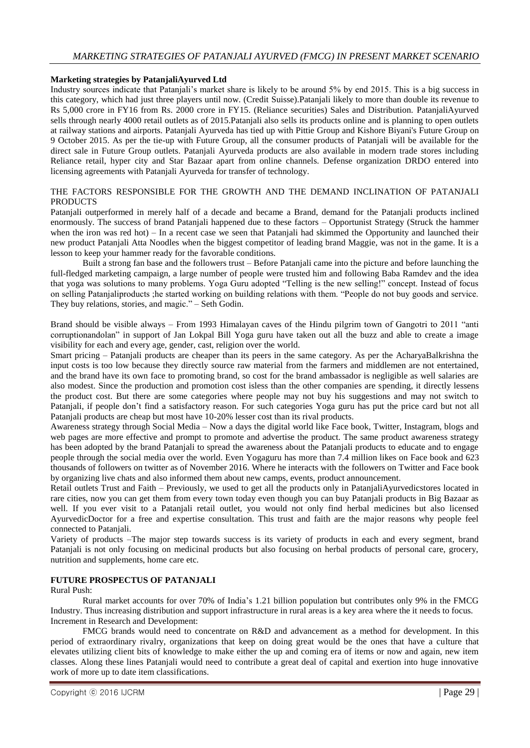## **Marketing strategies by PatanjaliAyurved Ltd**

Industry sources indicate that Patanjali's market share is likely to be around 5% by end 2015. This is a big success in this category, which had just three players until now. (Credit Suisse).Patanjali likely to more than double its revenue to Rs 5,000 crore in FY16 from Rs. 2000 crore in FY15. (Reliance securities) Sales and Distribution. PatanjaliAyurved sells through nearly 4000 retail outlets as of 2015.Patanjali also sells its products online and is planning to open outlets at railway stations and airports. Patanjali Ayurveda has tied up with Pittie Group and Kishore Biyani's Future Group on 9 October 2015. As per the tie-up with Future Group, all the consumer products of Patanjali will be available for the direct sale in Future Group outlets. Patanjali Ayurveda products are also available in modern trade stores including Reliance retail, hyper city and Star Bazaar apart from online channels. Defense organization DRDO entered into licensing agreements with Patanjali Ayurveda for transfer of technology.

## THE FACTORS RESPONSIBLE FOR THE GROWTH AND THE DEMAND INCLINATION OF PATANJALI **PRODUCTS**

Patanjali outperformed in merely half of a decade and became a Brand, demand for the Patanjali products inclined enormously. The success of brand Patanjali happened due to these factors – Opportunist Strategy (Struck the hammer when the iron was red hot) – In a recent case we seen that Patanjali had skimmed the Opportunity and launched their new product Patanjali Atta Noodles when the biggest competitor of leading brand Maggie, was not in the game. It is a lesson to keep your hammer ready for the favorable conditions.

Built a strong fan base and the followers trust – Before Patanjali came into the picture and before launching the full-fledged marketing campaign, a large number of people were trusted him and following Baba Ramdev and the idea that yoga was solutions to many problems. Yoga Guru adopted "Telling is the new selling!" concept. Instead of focus on selling Patanjaliproducts ;he started working on building relations with them. "People do not buy goods and service. They buy relations, stories, and magic." – Seth Godin.

Brand should be visible always – From 1993 Himalayan caves of the Hindu pilgrim town of Gangotri to 2011 "anti corruptionandolan" in support of Jan Lokpal Bill Yoga guru have taken out all the buzz and able to create a image visibility for each and every age, gender, cast, religion over the world.

Smart pricing – Patanjali products are cheaper than its peers in the same category. As per the AcharyaBalkrishna the input costs is too low because they directly source raw material from the farmers and middlemen are not entertained, and the brand have its own face to promoting brand, so cost for the brand ambassador is negligible as well salaries are also modest. Since the production and promotion cost isless than the other companies are spending, it directly lessens the product cost. But there are some categories where people may not buy his suggestions and may not switch to Patanjali, if people don't find a satisfactory reason. For such categories Yoga guru has put the price card but not all Patanjali products are cheap but most have 10-20% lesser cost than its rival products.

Awareness strategy through Social Media – Now a days the digital world like Face book, Twitter, Instagram, blogs and web pages are more effective and prompt to promote and advertise the product. The same product awareness strategy has been adopted by the brand Patanjali to spread the awareness about the Patanjali products to educate and to engage people through the social media over the world. Even Yogaguru has more than 7.4 million likes on Face book and 623 thousands of followers on twitter as of November 2016. Where he interacts with the followers on Twitter and Face book by organizing live chats and also informed them about new camps, events, product announcement.

Retail outlets Trust and Faith – Previously, we used to get all the products only in PatanjaliAyurvedicstores located in rare cities, now you can get them from every town today even though you can buy Patanjali products in Big Bazaar as well. If you ever visit to a Patanjali retail outlet, you would not only find herbal medicines but also licensed AyurvedicDoctor for a free and expertise consultation. This trust and faith are the major reasons why people feel connected to Patanjali.

Variety of products –The major step towards success is its variety of products in each and every segment, brand Patanjali is not only focusing on medicinal products but also focusing on herbal products of personal care, grocery, nutrition and supplements, home care etc.

### **FUTURE PROSPECTUS OF PATANJALI**

#### Rural Push:

Rural market accounts for over 70% of India's 1.21 billion population but contributes only 9% in the FMCG Industry. Thus increasing distribution and support infrastructure in rural areas is a key area where the it needs to focus. Increment in Research and Development:

FMCG brands would need to concentrate on R&D and advancement as a method for development. In this period of extraordinary rivalry, organizations that keep on doing great would be the ones that have a culture that elevates utilizing client bits of knowledge to make either the up and coming era of items or now and again, new item classes. Along these lines Patanjali would need to contribute a great deal of capital and exertion into huge innovative work of more up to date item classifications.